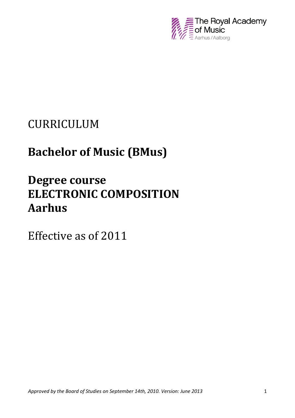

## CURRICULUM

# **Bachelor of Music (BMus)**

# **Degree course ELECTRONIC COMPOSITION Aarhus**

Effective as of 2011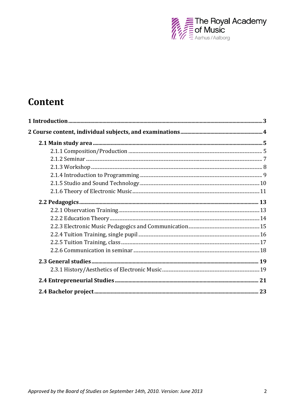

## Content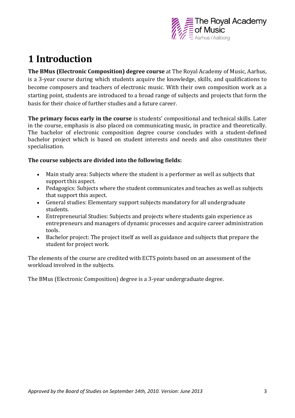

## **1 Introduction**

**The BMus (Electronic Composition) degree course** at The Royal Academy of Music, Aarhus, is a 3-year course during which students acquire the knowledge, skills, and qualifications to become composers and teachers of electronic music. With their own composition work as a starting point, students are introduced to a broad range of subjects and projects that form the basis for their choice of further studies and a future career.

**The primary focus early in the course** is students' compositional and technical skills. Later in the course, emphasis is also placed on communicating music, in practice and theoretically. The bachelor of electronic composition degree course concludes with a student-defined bachelor project which is based on student interests and needs and also constitutes their specialisation.

#### **The course subjects are divided into the following fields:**

- Main study area: Subjects where the student is a performer as well as subjects that support this aspect.
- Pedagogics: Subjects where the student communicates and teaches as well as subjects that support this aspect.
- General studies: Elementary support subjects mandatory for all undergraduate students.
- Entrepreneurial Studies: Subjects and projects where students gain experience as entrepreneurs and managers of dynamic processes and acquire career administration tools.
- Bachelor project: The project itself as well as guidance and subjects that prepare the student for project work.

The elements of the course are credited with ECTS points based on an assessment of the workload involved in the subjects.

The BMus (Electronic Composition) degree is a 3-year undergraduate degree.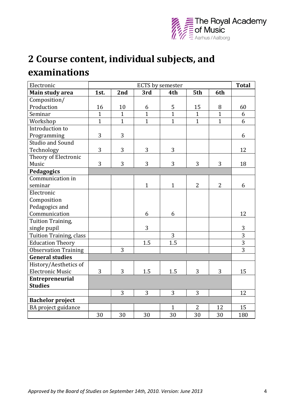

# **2 Course content, individual subjects, and examinations**

| Electronic                  | <b>ECTS</b> by semester |              |              |              |                |                | <b>Total</b>   |
|-----------------------------|-------------------------|--------------|--------------|--------------|----------------|----------------|----------------|
| Main study area             | 1st.                    | 2nd          | 3rd          | 4th          | 5th            | 6th            |                |
| Composition/                |                         |              |              |              |                |                |                |
| Production                  | 16                      | 10           | 6            | 5            | 15             | 8              | 60             |
| Seminar                     | $\mathbf{1}$            | $\mathbf{1}$ | $\mathbf{1}$ | $\mathbf{1}$ | $\mathbf{1}$   | $\mathbf{1}$   | 6              |
| Workshop                    | $\mathbf{1}$            | $\mathbf{1}$ | $\mathbf{1}$ | $\mathbf{1}$ | $\mathbf{1}$   | $\mathbf{1}$   | 6              |
| Introduction to             |                         |              |              |              |                |                |                |
| Programming                 | 3                       | 3            |              |              |                |                | 6              |
| <b>Studio and Sound</b>     |                         |              |              |              |                |                |                |
| Technology                  | 3                       | 3            | 3            | 3            |                |                | 12             |
| Theory of Electronic        |                         |              |              |              |                |                |                |
| Music                       | 3                       | 3            | 3            | 3            | 3              | 3              | 18             |
| Pedagogics                  |                         |              |              |              |                |                |                |
| Communication in            |                         |              |              |              |                |                |                |
| seminar                     |                         |              | $\mathbf{1}$ | $\mathbf{1}$ | $\overline{2}$ | $\overline{2}$ | 6              |
| Electronic                  |                         |              |              |              |                |                |                |
| Composition                 |                         |              |              |              |                |                |                |
| Pedagogics and              |                         |              |              |              |                |                |                |
| Communication               |                         |              | 6            | 6            |                |                | 12             |
| Tuition Training,           |                         |              |              |              |                |                |                |
| single pupil                |                         |              | 3            |              |                |                | 3              |
| Tuition Training, class     |                         |              |              | 3            |                |                | $\overline{3}$ |
| <b>Education Theory</b>     |                         |              | 1.5          | 1.5          |                |                | $\overline{3}$ |
| <b>Observation Training</b> |                         | 3            |              |              |                |                | $\overline{3}$ |
| <b>General studies</b>      |                         |              |              |              |                |                |                |
| History/Aesthetics of       |                         |              |              |              |                |                |                |
| <b>Electronic Music</b>     | 3                       | 3            | 1.5          | 1.5          | 3              | 3              | 15             |
| <b>Entrepreneurial</b>      |                         |              |              |              |                |                |                |
| <b>Studies</b>              |                         |              |              |              |                |                |                |
|                             |                         | 3            | 3            | 3            | 3              |                | 12             |
| <b>Bachelor project</b>     |                         |              |              |              |                |                |                |
| BA project guidance         |                         |              |              | $\mathbf{1}$ | $\overline{2}$ | 12             | 15             |
|                             | 30                      | 30           | 30           | 30           | 30             | 30             | 180            |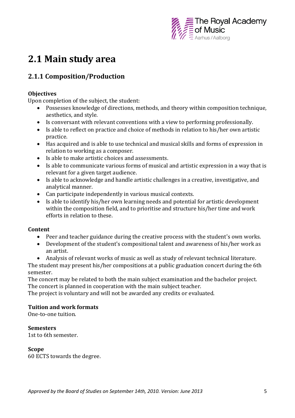

## **2.1 Main study area**

## **2.1.1 Composition/Production**

#### **Objectives**

Upon completion of the subject, the student:

- Possesses knowledge of directions, methods, and theory within composition technique, aesthetics, and style.
- Is conversant with relevant conventions with a view to performing professionally.
- Is able to reflect on practice and choice of methods in relation to his/her own artistic practice.
- Has acquired and is able to use technical and musical skills and forms of expression in relation to working as a composer.
- Is able to make artistic choices and assessments.
- Is able to communicate various forms of musical and artistic expression in a way that is relevant for a given target audience.
- Is able to acknowledge and handle artistic challenges in a creative, investigative, and analytical manner.
- Can participate independently in various musical contexts.
- Is able to identify his/her own learning needs and potential for artistic development within the composition field, and to prioritise and structure his/her time and work efforts in relation to these.

#### **Content**

- Peer and teacher guidance during the creative process with the student's own works.
- Development of the student's compositional talent and awareness of his/her work as an artist.
- Analysis of relevant works of music as well as study of relevant technical literature.

The student may present his/her compositions at a public graduation concert during the 6th semester.

The concert may be related to both the main subject examination and the bachelor project. The concert is planned in cooperation with the main subject teacher.

The project is voluntary and will not be awarded any credits or evaluated.

#### **Tuition and work formats**

One-to-one tuition.

**Semesters** 

1st to 6th semester.

#### **Scope**

60 ECTS towards the degree.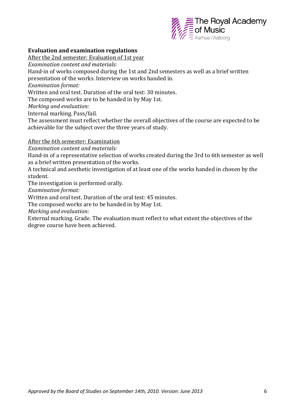

#### **Evaluation and examination regulations**

After the 2nd semester: Evaluation of 1st year

*Examination content and materials:* 

Hand-in of works composed during the 1st and 2nd semesters as well as a brief written presentation of the works. Interview on works handed in.

*Examination format:* 

Written and oral test. Duration of the oral test: 30 minutes.

The composed works are to be handed in by May 1st.

*Marking and evaluation:* 

Internal marking. Pass/fail.

The assessment must reflect whether the overall objectives of the course are expected to be achievable for the subject over the three years of study.

After the 6th semester: Examination

*Examination content and materials:* 

Hand-in of a representative selection of works created during the 3rd to 6th semester as well as a brief written presentation of the works.

A technical and aesthetic investigation of at least one of the works handed in chosen by the student.

The investigation is performed orally.

*Examination format:* 

Written and oral test. Duration of the oral test: 45 minutes.

The composed works are to be handed in by May 1st.

*Marking and evaluation:* 

External marking. Grade. The evaluation must reflect to what extent the objectives of the degree course have been achieved.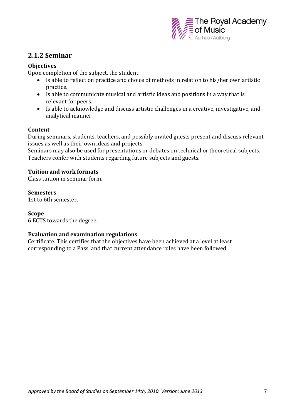

### **2.1.2 Seminar**

#### **Objectives**

Upon completion of the subject, the student:

- Is able to reflect on practice and choice of methods in relation to his/her own artistic practice.
- Is able to communicate musical and artistic ideas and positions in a way that is relevant for peers.
- Is able to acknowledge and discuss artistic challenges in a creative, investigative, and analytical manner.

#### **Content**

During seminars, students, teachers, and possibly invited guests present and discuss relevant issues as well as their own ideas and projects.

Seminars may also be used for presentations or debates on technical or theoretical subjects. Teachers confer with students regarding future subjects and guests.

#### **Tuition and work formats**

Class tuition in seminar form.

#### **Semesters**

1st to 6th semester.

#### **Scope**

6 ECTS towards the degree.

#### **Evaluation and examination regulations**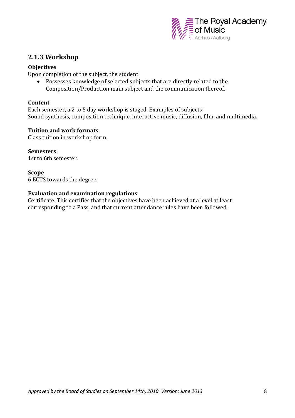

### **2.1.3 Workshop**

#### **Objectives**

Upon completion of the subject, the student:

 Possesses knowledge of selected subjects that are directly related to the Composition/Production main subject and the communication thereof.

#### **Content**

Each semester, a 2 to 5 day workshop is staged. Examples of subjects: Sound synthesis, composition technique, interactive music, diffusion, film, and multimedia.

#### **Tuition and work formats**

Class tuition in workshop form.

**Semesters**  1st to 6th semester.

**Scope** 6 ECTS towards the degree.

#### **Evaluation and examination regulations**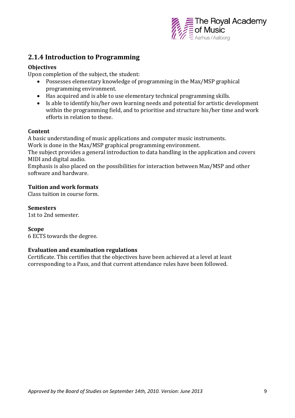

### **2.1.4 Introduction to Programming**

#### **Objectives**

Upon completion of the subject, the student:

- Possesses elementary knowledge of programming in the Max/MSP graphical programming environment.
- Has acquired and is able to use elementary technical programming skills.
- Is able to identify his/her own learning needs and potential for artistic development within the programming field, and to prioritise and structure his/her time and work efforts in relation to these.

#### **Content**

A basic understanding of music applications and computer music instruments. Work is done in the Max/MSP graphical programming environment.

The subject provides a general introduction to data handling in the application and covers MIDI and digital audio.

Emphasis is also placed on the possibilities for interaction between Max/MSP and other software and hardware.

#### **Tuition and work formats**

Class tuition in course form.

**Semesters** 

1st to 2nd semester.

#### **Scope**

6 ECTS towards the degree.

#### **Evaluation and examination regulations**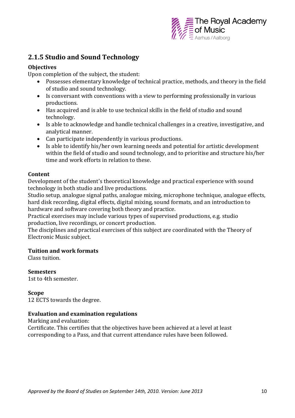

## **2.1.5 Studio and Sound Technology**

#### **Objectives**

Upon completion of the subject, the student:

- Possesses elementary knowledge of technical practice, methods, and theory in the field of studio and sound technology.
- Is conversant with conventions with a view to performing professionally in various productions.
- Has acquired and is able to use technical skills in the field of studio and sound technology.
- Is able to acknowledge and handle technical challenges in a creative, investigative, and analytical manner.
- Can participate independently in various productions.
- Is able to identify his/her own learning needs and potential for artistic development within the field of studio and sound technology, and to prioritise and structure his/her time and work efforts in relation to these.

#### **Content**

Development of the student's theoretical knowledge and practical experience with sound technology in both studio and live productions.

Studio setup, analogue signal paths, analogue mixing, microphone technique, analogue effects, hard disk recording, digital effects, digital mixing, sound formats, and an introduction to hardware and software covering both theory and practice.

Practical exercises may include various types of supervised productions, e.g. studio production, live recordings, or concert production.

The disciplines and practical exercises of this subject are coordinated with the Theory of Electronic Music subject.

#### **Tuition and work formats**

Class tuition.

**Semesters**  1st to 4th semester.

**Scope** 12 ECTS towards the degree.

#### **Evaluation and examination regulations**

Marking and evaluation: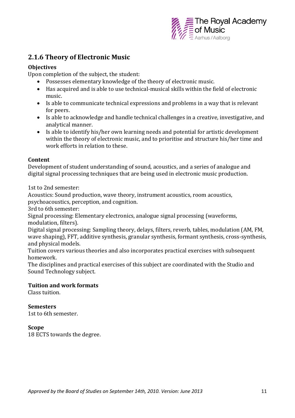

## **2.1.6 Theory of Electronic Music**

#### **Objectives**

Upon completion of the subject, the student:

- Possesses elementary knowledge of the theory of electronic music.
- Has acquired and is able to use technical-musical skills within the field of electronic music.
- Is able to communicate technical expressions and problems in a way that is relevant for peers.
- Is able to acknowledge and handle technical challenges in a creative, investigative, and analytical manner.
- Is able to identify his/her own learning needs and potential for artistic development within the theory of electronic music, and to prioritise and structure his/her time and work efforts in relation to these.

#### **Content**

Development of student understanding of sound, acoustics, and a series of analogue and digital signal processing techniques that are being used in electronic music production.

1st to 2nd semester:

Acoustics: Sound production, wave theory, instrument acoustics, room acoustics, psychoacoustics, perception, and cognition.

3rd to 6th semester:

Signal processing: Elementary electronics, analogue signal processing (waveforms, modulation, filters).

Digital signal processing: Sampling theory, delays, filters, reverb, tables, modulation (AM, FM, wave shaping), FFT, additive synthesis, granular synthesis, formant synthesis, cross-synthesis, and physical models.

Tuition covers various theories and also incorporates practical exercises with subsequent homework.

The disciplines and practical exercises of this subject are coordinated with the Studio and Sound Technology subject.

#### **Tuition and work formats**

Class tuition.

#### **Semesters**

1st to 6th semester.

#### **Scope**

18 ECTS towards the degree.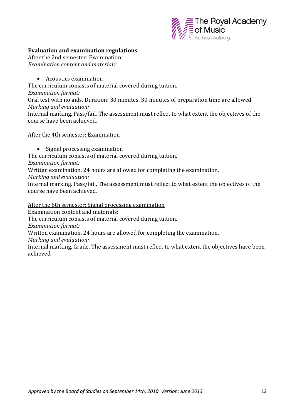

#### **Evaluation and examination regulations**

After the 2nd semester: Examination *Examination content and materials:* 

Acoustics examination

The curriculum consists of material covered during tuition.

*Examination format:* 

Oral test with no aids. Duration: 30 minutes. 30 minutes of preparation time are allowed. *Marking and evaluation:* 

Internal marking. Pass/fail. The assessment must reflect to what extent the objectives of the course have been achieved.

#### After the 4th semester: Examination

• Signal processing examination

The curriculum consists of material covered during tuition.

*Examination format:* 

Written examination. 24 hours are allowed for completing the examination.

*Marking and evaluation:* 

Internal marking. Pass/fail. The assessment must reflect to what extent the objectives of the course have been achieved.

After the 6th semester: Signal processing examination

Examination content and materials:

The curriculum consists of material covered during tuition.

*Examination format:* 

Written examination. 24 hours are allowed for completing the examination.

*Marking and evaluation:* 

Internal marking. Grade. The assessment must reflect to what extent the objectives have been achieved.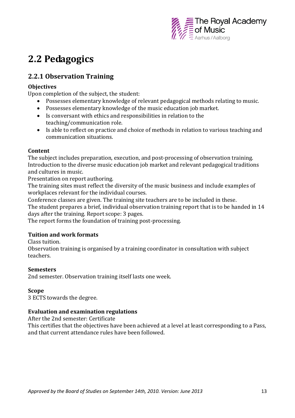

## **2.2 Pedagogics**

## **2.2.1 Observation Training**

#### **Objectives**

Upon completion of the subject, the student:

- Possesses elementary knowledge of relevant pedagogical methods relating to music.
- Possesses elementary knowledge of the music education job market.
- Is conversant with ethics and responsibilities in relation to the teaching/communication role.
- Is able to reflect on practice and choice of methods in relation to various teaching and communication situations.

#### **Content**

The subject includes preparation, execution, and post-processing of observation training. Introduction to the diverse music education job market and relevant pedagogical traditions and cultures in music.

Presentation on report authoring.

The training sites must reflect the diversity of the music business and include examples of workplaces relevant for the individual courses.

Conference classes are given. The training site teachers are to be included in these. The student prepares a brief, individual observation training report that is to be handed in 14 days after the training. Report scope: 3 pages.

The report forms the foundation of training post-processing.

#### **Tuition and work formats**

#### Class tuition.

Observation training is organised by a training coordinator in consultation with subject teachers.

#### **Semesters**

2nd semester. Observation training itself lasts one week.

#### **Scope**

3 ECTS towards the degree.

#### **Evaluation and examination regulations**

After the 2nd semester: Certificate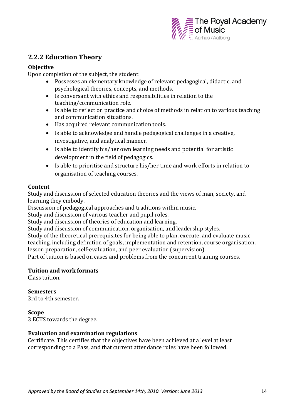

## **2.2.2 Education Theory**

#### **Objective**

Upon completion of the subject, the student:

- Possesses an elementary knowledge of relevant pedagogical, didactic, and psychological theories, concepts, and methods.
- Is conversant with ethics and responsibilities in relation to the teaching/communication role.
- Is able to reflect on practice and choice of methods in relation to various teaching and communication situations.
- Has acquired relevant communication tools.
- Is able to acknowledge and handle pedagogical challenges in a creative, investigative, and analytical manner.
- Is able to identify his/her own learning needs and potential for artistic development in the field of pedagogics.
- Is able to prioritise and structure his/her time and work efforts in relation to organisation of teaching courses.

#### **Content**

Study and discussion of selected education theories and the views of man, society, and learning they embody.

Discussion of pedagogical approaches and traditions within music.

Study and discussion of various teacher and pupil roles.

Study and discussion of theories of education and learning.

Study and discussion of communication, organisation, and leadership styles.

Study of the theoretical prerequisites for being able to plan, execute, and evaluate music teaching, including definition of goals, implementation and retention, course organisation, lesson preparation, self-evaluation, and peer evaluation (supervision).

Part of tuition is based on cases and problems from the concurrent training courses.

#### **Tuition and work formats**

Class tuition.

#### **Semesters**

3rd to 4th semester.

#### **Scope**

3 ECTS towards the degree.

#### **Evaluation and examination regulations**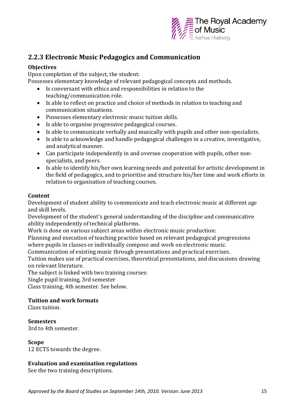

## **2.2.3 Electronic Music Pedagogics and Communication**

#### **Objectives**

Upon completion of the subject, the student:

Possesses elementary knowledge of relevant pedagogical concepts and methods.

- Is conversant with ethics and responsibilities in relation to the teaching/communication role.
- Is able to reflect on practice and choice of methods in relation to teaching and communication situations.
- Possesses elementary electronic music tuition skills.
- Is able to organise progressive pedagogical courses.
- Is able to communicate verbally and musically with pupils and other non-specialists.
- Is able to acknowledge and handle pedagogical challenges in a creative, investigative, and analytical manner.
- Can participate independently in and oversee cooperation with pupils, other nonspecialists, and peers.
- Is able to identify his/her own learning needs and potential for artistic development in the field of pedagogics, and to prioritise and structure his/her time and work efforts in relation to organisation of teaching courses.

#### **Content**

Development of student ability to communicate and teach electronic music at different age and skill levels.

Development of the student's general understanding of the discipline and communicative ability independently of technical platforms.

Work is done on various subject areas within electronic music production:

Planning and execution of teaching practice based on relevant pedagogical progressions where pupils in classes or individually compose and work on electronic music.

Communication of existing music through presentations and practical exercises.

Tuition makes use of practical exercises, theoretical presentations, and discussions drawing on relevant literature.

The subject is linked with two training courses:

Single pupil training, 3rd semester

Class training, 4th semester. See below.

#### **Tuition and work formats**

Class tuition.

#### **Semesters**

3rd to 4th semester.

#### **Scope**

12 ECTS towards the degree.

#### **Evaluation and examination regulations**

See the two training descriptions.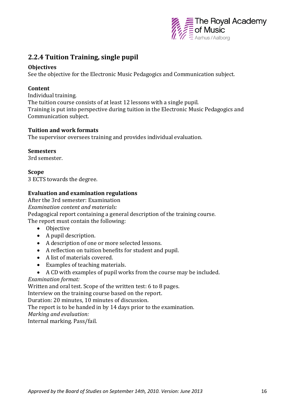

## **2.2.4 Tuition Training, single pupil**

#### **Objectives**

See the objective for the Electronic Music Pedagogics and Communication subject.

#### **Content**

Individual training. The tuition course consists of at least 12 lessons with a single pupil. Training is put into perspective during tuition in the Electronic Music Pedagogics and Communication subject.

#### **Tuition and work formats**

The supervisor oversees training and provides individual evaluation.

#### **Semesters**

3rd semester.

**Scope** 3 ECTS towards the degree.

#### **Evaluation and examination regulations**

After the 3rd semester: Examination *Examination content and materials:*  Pedagogical report containing a general description of the training course. The report must contain the following:

- Objective
- A pupil description.
- A description of one or more selected lessons.
- A reflection on tuition benefits for student and pupil.
- A list of materials covered.
- Examples of teaching materials.
- A CD with examples of pupil works from the course may be included.

#### *Examination format:*

Written and oral test. Scope of the written test: 6 to 8 pages.

Interview on the training course based on the report.

Duration: 20 minutes, 10 minutes of discussion.

The report is to be handed in by 14 days prior to the examination.

*Marking and evaluation:* 

Internal marking. Pass/fail.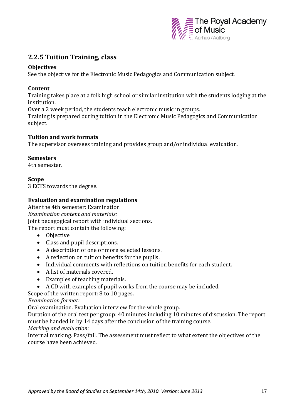

## **2.2.5 Tuition Training, class**

#### **Objectives**

See the objective for the Electronic Music Pedagogics and Communication subject.

#### **Content**

Training takes place at a folk high school or similar institution with the students lodging at the institution.

Over a 2 week period, the students teach electronic music in groups.

Training is prepared during tuition in the Electronic Music Pedagogics and Communication subject.

#### **Tuition and work formats**

The supervisor oversees training and provides group and/or individual evaluation.

#### **Semesters**

4th semester.

#### **Scope**

3 ECTS towards the degree.

#### **Evaluation and examination regulations**

After the 4th semester: Examination *Examination content and materials:*  Joint pedagogical report with individual sections. The report must contain the following:

- Objective
- Class and pupil descriptions.
- A description of one or more selected lessons.
- A reflection on tuition benefits for the pupils.
- Individual comments with reflections on tuition benefits for each student.
- A list of materials covered.
- Examples of teaching materials.
- A CD with examples of pupil works from the course may be included.
- Scope of the written report: 8 to 10 pages.

*Examination format:* 

Oral examination. Evaluation interview for the whole group.

Duration of the oral test per group: 40 minutes including 10 minutes of discussion. The report must be handed in by 14 days after the conclusion of the training course.

#### *Marking and evaluation:*

Internal marking. Pass/fail. The assessment must reflect to what extent the objectives of the course have been achieved.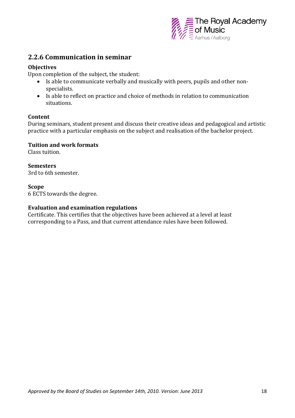

### **2.2.6 Communication in seminar**

#### **Objectives**

Upon completion of the subject, the student:

- Is able to communicate verbally and musically with peers, pupils and other nonspecialists.
- Is able to reflect on practice and choice of methods in relation to communication situations.

#### **Content**

During seminars, student present and discuss their creative ideas and pedagogical and artistic practice with a particular emphasis on the subject and realisation of the bachelor project.

#### **Tuition and work formats**

Class tuition.

**Semesters**  3rd to 6th semester.

**Scope** 6 ECTS towards the degree.

#### **Evaluation and examination regulations**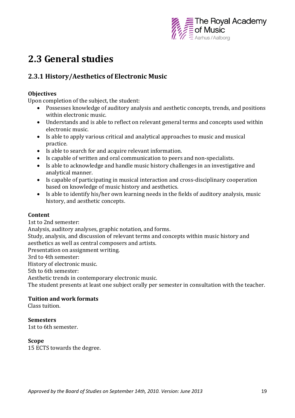

## **2.3 General studies**

## **2.3.1 History/Aesthetics of Electronic Music**

#### **Objectives**

Upon completion of the subject, the student:

- Possesses knowledge of auditory analysis and aesthetic concepts, trends, and positions within electronic music.
- Understands and is able to reflect on relevant general terms and concepts used within electronic music.
- Is able to apply various critical and analytical approaches to music and musical practice.
- Is able to search for and acquire relevant information.
- Is capable of written and oral communication to peers and non-specialists.
- Is able to acknowledge and handle music history challenges in an investigative and analytical manner.
- Is capable of participating in musical interaction and cross-disciplinary cooperation based on knowledge of music history and aesthetics.
- Is able to identify his/her own learning needs in the fields of auditory analysis, music history, and aesthetic concepts.

#### **Content**

1st to 2nd semester:

Analysis, auditory analyses, graphic notation, and forms.

Study, analysis, and discussion of relevant terms and concepts within music history and aesthetics as well as central composers and artists.

Presentation on assignment writing.

3rd to 4th semester:

History of electronic music.

5th to 6th semester:

Aesthetic trends in contemporary electronic music.

The student presents at least one subject orally per semester in consultation with the teacher.

#### **Tuition and work formats**

Class tuition.

#### **Semesters**

1st to 6th semester.

#### **Scope**

15 ECTS towards the degree.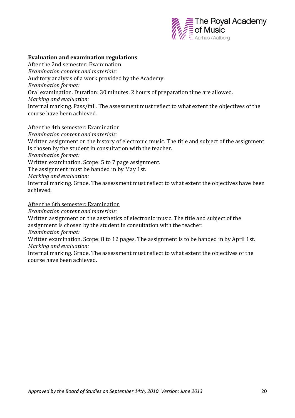

#### **Evaluation and examination regulations**

After the 2nd semester: Examination *Examination content and materials:*  Auditory analysis of a work provided by the Academy. *Examination format:*  Oral examination. Duration: 30 minutes. 2 hours of preparation time are allowed. *Marking and evaluation:*  Internal marking. Pass/fail. The assessment must reflect to what extent the objectives of the course have been achieved.

#### After the 4th semester: Examination

*Examination content and materials:* 

Written assignment on the history of electronic music. The title and subject of the assignment is chosen by the student in consultation with the teacher.

*Examination format:* 

Written examination. Scope: 5 to 7 page assignment.

The assignment must be handed in by May 1st.

*Marking and evaluation:* 

Internal marking. Grade. The assessment must reflect to what extent the objectives have been achieved.

#### After the 6th semester: Examination

*Examination content and materials:* 

Written assignment on the aesthetics of electronic music. The title and subject of the assignment is chosen by the student in consultation with the teacher.

*Examination format:* 

Written examination. Scope: 8 to 12 pages. The assignment is to be handed in by April 1st. *Marking and evaluation:* 

Internal marking. Grade. The assessment must reflect to what extent the objectives of the course have been achieved.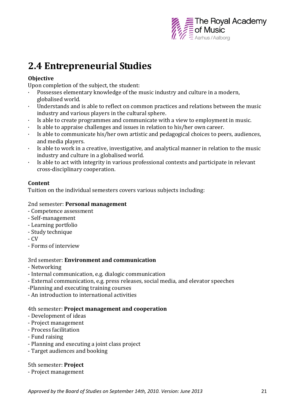

## **2.4 Entrepreneurial Studies**

#### **Objective**

Upon completion of the subject, the student:

- Possesses elementary knowledge of the music industry and culture in a modern, globalised world.
- · Understands and is able to reflect on common practices and relations between the music industry and various players in the cultural sphere.
- · Is able to create programmes and communicate with a view to employment in music.
- Is able to appraise challenges and issues in relation to his/her own career.
- · Is able to communicate his/her own artistic and pedagogical choices to peers, audiences, and media players.
- · Is able to work in a creative, investigative, and analytical manner in relation to the music industry and culture in a globalised world.
- · Is able to act with integrity in various professional contexts and participate in relevant cross-disciplinary cooperation.

#### **Content**

Tuition on the individual semesters covers various subjects including:

#### 2nd semester: **Personal management**

- Competence assessment
- Self-management
- Learning portfolio
- Study technique
- CV
- Forms of interview

#### 3rd semester: **Environment and communication**

- Networking
- Internal communication, e.g. dialogic communication
- External communication, e.g. press releases, social media, and elevator speeches
- -Planning and executing training courses
- An introduction to international activities

#### 4th semester: **Project management and cooperation**

- Development of ideas
- Project management
- Process facilitation
- Fund raising
- Planning and executing a joint class project
- Target audiences and booking

#### 5th semester: **Project**

- Project management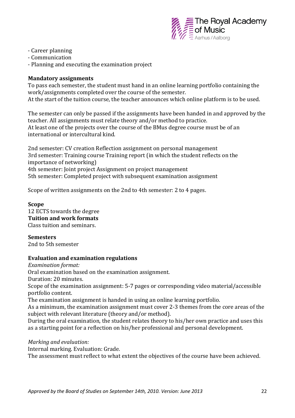

- Career planning
- Communication
- Planning and executing the examination project

#### **Mandatory assignments**

To pass each semester, the student must hand in an online learning portfolio containing the work/assignments completed over the course of the semester. At the start of the tuition course, the teacher announces which online platform is to be used.

The semester can only be passed if the assignments have been handed in and approved by the teacher. All assignments must relate theory and/or method to practice. At least one of the projects over the course of the BMus degree course must be of an international or intercultural kind.

2nd semester: CV creation Reflection assignment on personal management 3rd semester: Training course Training report (in which the student reflects on the importance of networking) 4th semester: Joint project Assignment on project management 5th semester: Completed project with subsequent examination assignment

Scope of written assignments on the 2nd to 4th semester: 2 to 4 pages.

#### **Scope**

12 ECTS towards the degree **Tuition and work formats** Class tuition and seminars.

**Semesters** 2nd to 5th semester

#### **Evaluation and examination regulations**

*Examination format:* Oral examination based on the examination assignment. Duration: 20 minutes. Scope of the examination assignment: 5-7 pages or corresponding video material/accessible portfolio content. The examination assignment is handed in using an online learning portfolio. As a minimum, the examination assignment must cover 2-3 themes from the core areas of the subject with relevant literature (theory and/or method).

During the oral examination, the student relates theory to his/her own practice and uses this as a starting point for a reflection on his/her professional and personal development.

*Marking and evaluation:*

Internal marking. Evaluation: Grade.

The assessment must reflect to what extent the objectives of the course have been achieved.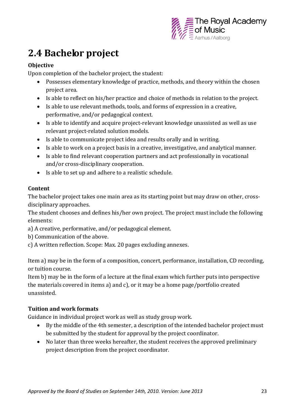

## **2.4 Bachelor project**

#### **Objective**

Upon completion of the bachelor project, the student:

- Possesses elementary knowledge of practice, methods, and theory within the chosen project area.
- Is able to reflect on his/her practice and choice of methods in relation to the project.
- Is able to use relevant methods, tools, and forms of expression in a creative, performative, and/or pedagogical context.
- Is able to identify and acquire project-relevant knowledge unassisted as well as use relevant project-related solution models.
- Is able to communicate project idea and results orally and in writing.
- Is able to work on a project basis in a creative, investigative, and analytical manner.
- Is able to find relevant cooperation partners and act professionally in vocational and/or cross-disciplinary cooperation.
- Is able to set up and adhere to a realistic schedule.

#### **Content**

The bachelor project takes one main area as its starting point but may draw on other, crossdisciplinary approaches.

The student chooses and defines his/her own project. The project must include the following elements:

- a) A creative, performative, and/or pedagogical element.
- b) Communication of the above.
- c) A written reflection. Scope: Max. 20 pages excluding annexes.

Item a) may be in the form of a composition, concert, performance, installation, CD recording, or tuition course.

Item b) may be in the form of a lecture at the final exam which further puts into perspective the materials covered in items a) and c), or it may be a home page/portfolio created unassisted.

#### **Tuition and work formats**

Guidance in individual project work as well as study group work.

- By the middle of the 4th semester, a description of the intended bachelor project must be submitted by the student for approval by the project coordinator.
- No later than three weeks hereafter, the student receives the approved preliminary project description from the project coordinator.